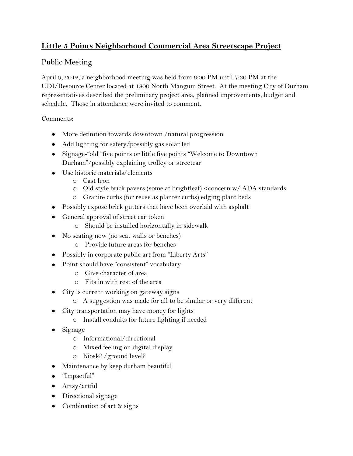## **Little 5 Points Neighborhood Commercial Area Streetscape Project**

## Public Meeting

April 9, 2012, a neighborhood meeting was held from 6:00 PM until 7:30 PM at the UDI/Resource Center located at 1800 North Mangum Street. At the meeting City of Durham representatives described the preliminary project area, planned improvements, budget and schedule. Those in attendance were invited to comment.

Comments:

- More definition towards downtown /natural progression
- Add lighting for safety/possibly gas solar led
- Signage-"old" five points or little five points "Welcome to Downtown Durham"/possibly explaining trolley or streetcar
- Use historic materials/elements
	- o Cast Iron
	- o Old style brick pavers (some at brightleaf) <concern w/ ADA standards
	- o Granite curbs (for reuse as planter curbs) edging plant beds
- Possibly expose brick gutters that have been overlaid with asphalt
- General approval of street car token
	- o Should be installed horizontally in sidewalk
- No seating now (no seat walls or benches)
	- o Provide future areas for benches
- Possibly in corporate public art from "Liberty Arts"
- Point should have "consistent" vocabulary
	- o Give character of area
	- o Fits in with rest of the area
- City is current working on gateway signs
	- o A suggestion was made for all to be similar or very different
- City transportation may have money for lights
	- o Install conduits for future lighting if needed
- Signage
	- o Informational/directional
	- o Mixed feeling on digital display
	- o Kiosk? /ground level?
- Maintenance by keep durham beautiful
- "Impactful"
- Artsy/artful
- Directional signage
- Combination of art & signs